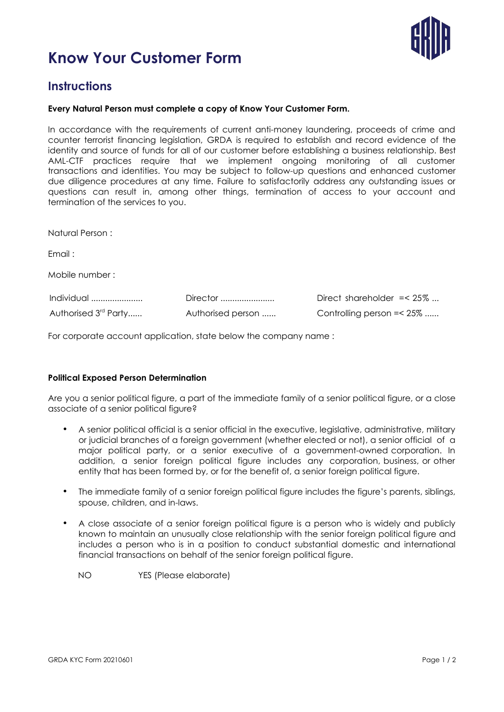



# **Instructions**

### **Every Natural Person must complete a copy of Know Your Customer Form.**

In accordance with the requirements of current anti-money laundering, proceeds of crime and counter terrorist financing legislation, GRDA is required to establish and record evidence of the identity and source of funds for all of our customer before establishing a business relationship. Best AML-CTF practices require that we implement ongoing monitoring of all customer transactions and identities. You may be subject to follow-up questions and enhanced customer due diligence procedures at any time. Failure to satisfactorily address any outstanding issues or questions can result in, among other things, termination of access to your account and termination of the services to you.

| Natural Person:                                               |                               |                                                            |
|---------------------------------------------------------------|-------------------------------|------------------------------------------------------------|
| Email:                                                        |                               |                                                            |
| Mobile number:                                                |                               |                                                            |
| Individual $\ldots$ $\ldots$ $\ldots$<br>Authorised 3rd Party | Director<br>Authorised person | Direct shareholder $=< 25\%$<br>Controlling person = < 25% |

For corporate account application, state below the company name :

#### **Political Exposed Person Determination**

Are you a senior political figure, a part of the immediate family of a senior political figure, or a close associate of a senior political figure?

- A senior political official is a senior official in the executive, legislative, administrative, military or judicial branches of a foreign government (whether elected or not), a senior official of a major political party, or a senior executive of a government-owned corporation. In addition, a senior foreign political figure includes any corporation, business, or other entity that has been formed by, or for the benefit of, a senior foreign political figure.
- The immediate family of a senior foreign political figure includes the figure's parents, siblings, spouse, children, and in-laws.
- A close associate of a senior foreign political figure is a person who is widely and publicly known to maintain an unusually close relationship with the senior foreign political figure and includes a person who is in a position to conduct substantial domestic and international financial transactions on behalf of the senior foreign political figure.



NO YES (Please elaborate)